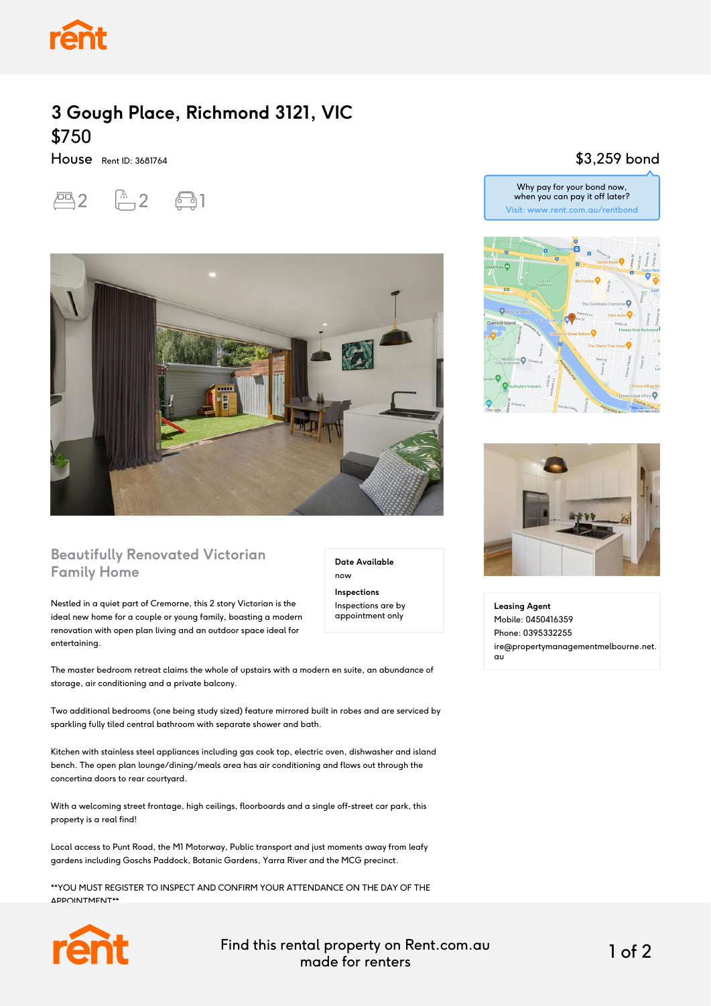

## **3 Gough Place, Richmond 3121, VIC** \$750

House Rent ID: 3681764

 $2^{2}$   $-2$   $-31$ 



#### **Beautifully Renovated Victorian Family Home**

Nestled in a quiet part of Cremorne, this 2 story Victorian is the ideal new home for a couple or young family, boasting a modern renovation with open plan living and an outdoor space ideal for entertaining.

The master bedroom retreat claims the whole of upstairs with a modern en suite, an abundance of storage, air conditioning and a private balcony.

Two additional bedrooms (one being study sized) feature mirrored built in robes and are serviced by sparkling fully tiled central bathroom with separate shower and bath.

Kitchen with stainless steel appliances including gas cook top, electric oven, dishwasher and island bench. The open plan lounge/dining/meals area has air conditioning and flows out through the concertina doors to rear courtyard.

With a welcoming street frontage, high ceilings, floorboards and a single off-street car park, this property is a real find!

Local access to Punt Road, the M1 Motorway, Public transport and just moments away from leafy gardens including Goschs Paddock, Botanic Gardens, Yarra River and the MCG precinct.

\*\*YOU MUST REGISTER TO INSPECT AND CONFIRM YOUR ATTENDANCE ON THE DAY OF THE APPOINTMENT\*\*



Find this rental property on Rent.com.au made for renters 1 of 2

**Date Available**

now **Inspections** Inspections are by appointment only

#### \$3,259 bond







**Leasing Agent** Mobile: 0450416359 Phone: 0395332255 ire@propertymanagementmelbourne.net. au